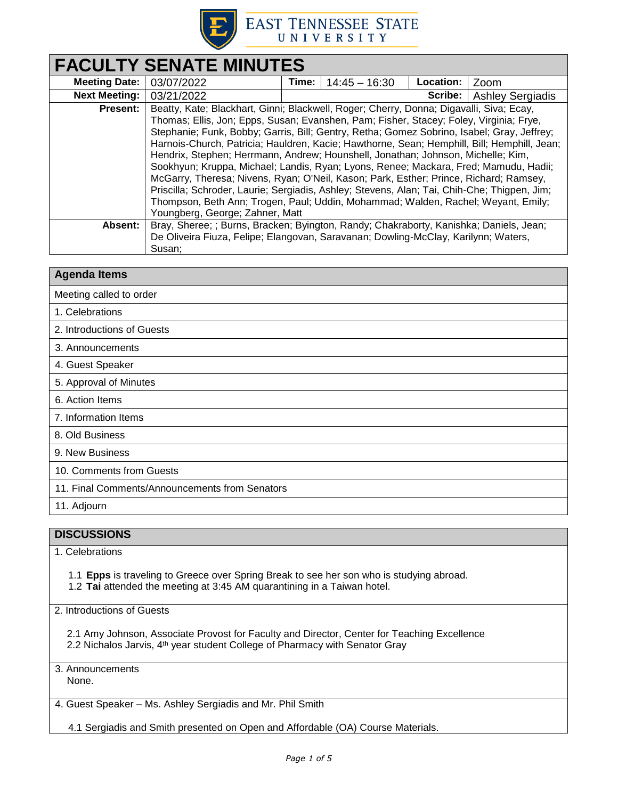

# **EAST TENNESSEE STATE** UNIVERSITY

| <b>FACULTY SENATE MINUTES</b> |                                                                                                                                                                                                                                                                                                                                                                                                                                                                                                                                                                                                                                                                                                                                                    |       |                 |                  |                         |  |
|-------------------------------|----------------------------------------------------------------------------------------------------------------------------------------------------------------------------------------------------------------------------------------------------------------------------------------------------------------------------------------------------------------------------------------------------------------------------------------------------------------------------------------------------------------------------------------------------------------------------------------------------------------------------------------------------------------------------------------------------------------------------------------------------|-------|-----------------|------------------|-------------------------|--|
| <b>Meeting Date:</b>          | 03/07/2022                                                                                                                                                                                                                                                                                                                                                                                                                                                                                                                                                                                                                                                                                                                                         | Time: | $14:45 - 16:30$ | <b>Location:</b> | Zoom                    |  |
| <b>Next Meeting:</b>          | 03/21/2022                                                                                                                                                                                                                                                                                                                                                                                                                                                                                                                                                                                                                                                                                                                                         |       |                 | Scribe:          | <b>Ashley Sergiadis</b> |  |
| <b>Present:</b>               | Beatty, Kate; Blackhart, Ginni; Blackwell, Roger; Cherry, Donna; Digavalli, Siva; Ecay,<br>Thomas; Ellis, Jon; Epps, Susan; Evanshen, Pam; Fisher, Stacey; Foley, Virginia; Frye,<br>Stephanie; Funk, Bobby; Garris, Bill; Gentry, Retha; Gomez Sobrino, Isabel; Gray, Jeffrey;<br>Harnois-Church, Patricia; Hauldren, Kacie; Hawthorne, Sean; Hemphill, Bill; Hemphill, Jean;<br>Hendrix, Stephen; Herrmann, Andrew; Hounshell, Jonathan; Johnson, Michelle; Kim,<br>Sookhyun; Kruppa, Michael; Landis, Ryan; Lyons, Renee; Mackara, Fred; Mamudu, Hadii;<br>McGarry, Theresa; Nivens, Ryan; O'Neil, Kason; Park, Esther; Prince, Richard; Ramsey,<br>Priscilla; Schroder, Laurie; Sergiadis, Ashley; Stevens, Alan; Tai, Chih-Che; Thigpen, Jim; |       |                 |                  |                         |  |
|                               | Thompson, Beth Ann; Trogen, Paul; Uddin, Mohammad; Walden, Rachel; Weyant, Emily;<br>Youngberg, George; Zahner, Matt                                                                                                                                                                                                                                                                                                                                                                                                                                                                                                                                                                                                                               |       |                 |                  |                         |  |
| Absent:                       | Bray, Sheree; ; Burns, Bracken; Byington, Randy; Chakraborty, Kanishka; Daniels, Jean;<br>De Oliveira Fiuza, Felipe; Elangovan, Saravanan; Dowling-McClay, Karilynn; Waters,<br>Susan;                                                                                                                                                                                                                                                                                                                                                                                                                                                                                                                                                             |       |                 |                  |                         |  |

| <b>Agenda Items</b>                            |  |
|------------------------------------------------|--|
| Meeting called to order                        |  |
| 1. Celebrations                                |  |
| 2. Introductions of Guests                     |  |
| 3. Announcements                               |  |
| 4. Guest Speaker                               |  |
| 5. Approval of Minutes                         |  |
| 6. Action Items                                |  |
| 7. Information Items                           |  |
| 8. Old Business                                |  |
| 9. New Business                                |  |
| 10. Comments from Guests                       |  |
| 11. Final Comments/Announcements from Senators |  |
| 11. Adjourn                                    |  |

## **DISCUSSIONS**

### 1. Celebrations

1.1 **Epps** is traveling to Greece over Spring Break to see her son who is studying abroad.

1.2 **Tai** attended the meeting at 3:45 AM quarantining in a Taiwan hotel.

2. Introductions of Guests

2.1 Amy Johnson, Associate Provost for Faculty and Director, Center for Teaching Excellence 2.2 Nichalos Jarvis, 4<sup>th</sup> year student College of Pharmacy with Senator Gray

3. Announcements None.

4. Guest Speaker – Ms. Ashley Sergiadis and Mr. Phil Smith

4.1 Sergiadis and Smith presented on Open and Affordable (OA) Course Materials.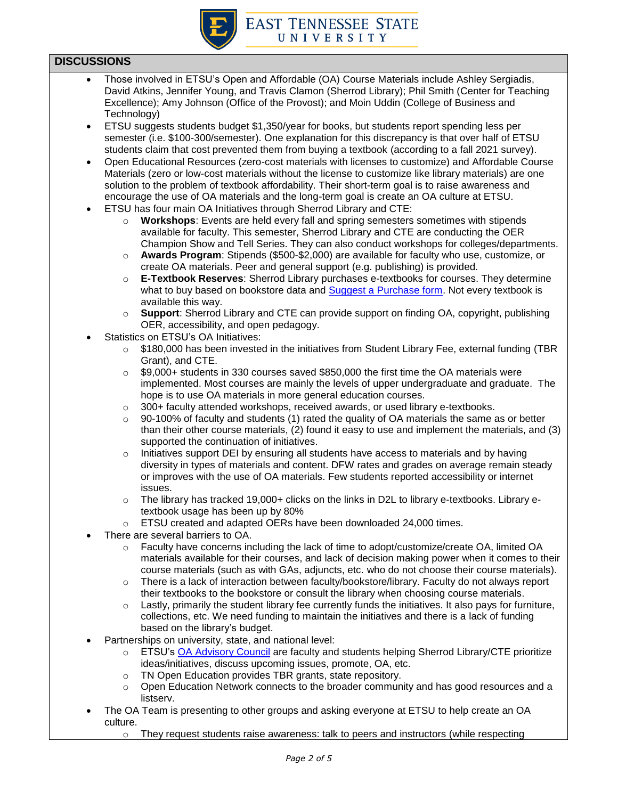

### **DISCUSSIONS**

- Those involved in ETSU's Open and Affordable (OA) Course Materials include Ashley Sergiadis, David Atkins, Jennifer Young, and Travis Clamon (Sherrod Library); Phil Smith (Center for Teaching Excellence); Amy Johnson (Office of the Provost); and Moin Uddin (College of Business and Technology)
- ETSU suggests students budget \$1,350/year for books, but students report spending less per semester (i.e. \$100-300/semester). One explanation for this discrepancy is that over half of ETSU students claim that cost prevented them from buying a textbook (according to a fall 2021 survey).
- Open Educational Resources (zero-cost materials with licenses to customize) and Affordable Course Materials (zero or low-cost materials without the license to customize like library materials) are one solution to the problem of textbook affordability. Their short-term goal is to raise awareness and encourage the use of OA materials and the long-term goal is create an OA culture at ETSU.
- ETSU has four main OA Initiatives through Sherrod Library and CTE:
	- o **Workshops**: Events are held every fall and spring semesters sometimes with stipends available for faculty. This semester, Sherrod Library and CTE are conducting the OER Champion Show and Tell Series. They can also conduct workshops for colleges/departments.
	- o **Awards Program**: Stipends (\$500-\$2,000) are available for faculty who use, customize, or create OA materials. Peer and general support (e.g. publishing) is provided.
	- **E-Textbook Reserves:** Sherrod Library purchases e-textbooks for courses. They determine what to buy based on bookstore data and [Suggest a Purchase form.](https://libraries.etsu.edu/research/collections/suggest) Not every textbook is available this way.
	- o **Support**: Sherrod Library and CTE can provide support on finding OA, copyright, publishing OER, accessibility, and open pedagogy.
- Statistics on ETSU's OA Initiatives:
	- $\circ$  \$180,000 has been invested in the initiatives from Student Library Fee, external funding (TBR Grant), and CTE.
	- $\circ$  \$9,000+ students in 330 courses saved \$850,000 the first time the OA materials were implemented. Most courses are mainly the levels of upper undergraduate and graduate. The hope is to use OA materials in more general education courses.
	- $\circ$  300+ faculty attended workshops, received awards, or used library e-textbooks.
	- $\circ$  90-100% of faculty and students (1) rated the quality of OA materials the same as or better than their other course materials, (2) found it easy to use and implement the materials, and (3) supported the continuation of initiatives.
	- $\circ$  Initiatives support DEI by ensuring all students have access to materials and by having diversity in types of materials and content. DFW rates and grades on average remain steady or improves with the use of OA materials. Few students reported accessibility or internet issues.
	- o The library has tracked 19,000+ clicks on the links in D2L to library e-textbooks. Library etextbook usage has been up by 80%
	- o ETSU created and adapted OERs have been downloaded 24,000 times.
- There are several barriers to OA.
	- $\circ$  Faculty have concerns including the lack of time to adopt/customize/create OA, limited OA materials available for their courses, and lack of decision making power when it comes to their course materials (such as with GAs, adjuncts, etc. who do not choose their course materials).
	- $\circ$  There is a lack of interaction between faculty/bookstore/library. Faculty do not always report their textbooks to the bookstore or consult the library when choosing course materials.
	- $\circ$  Lastly, primarily the student library fee currently funds the initiatives. It also pays for furniture, collections, etc. We need funding to maintain the initiatives and there is a lack of funding based on the library's budget.
- Partnerships on university, state, and national level:
	- o ETSU's [OA Advisory Council](https://libraries.etsu.edu/research/oer/advisory-council) are faculty and students helping Sherrod Library/CTE prioritize ideas/initiatives, discuss upcoming issues, promote, OA, etc.
	- o TN Open Education provides TBR grants, state repository.
	- $\circ$  Open Education Network connects to the broader community and has good resources and a listserv.
- The OA Team is presenting to other groups and asking everyone at ETSU to help create an OA culture.
	- $\circ$  They request students raise awareness: talk to peers and instructors (while respecting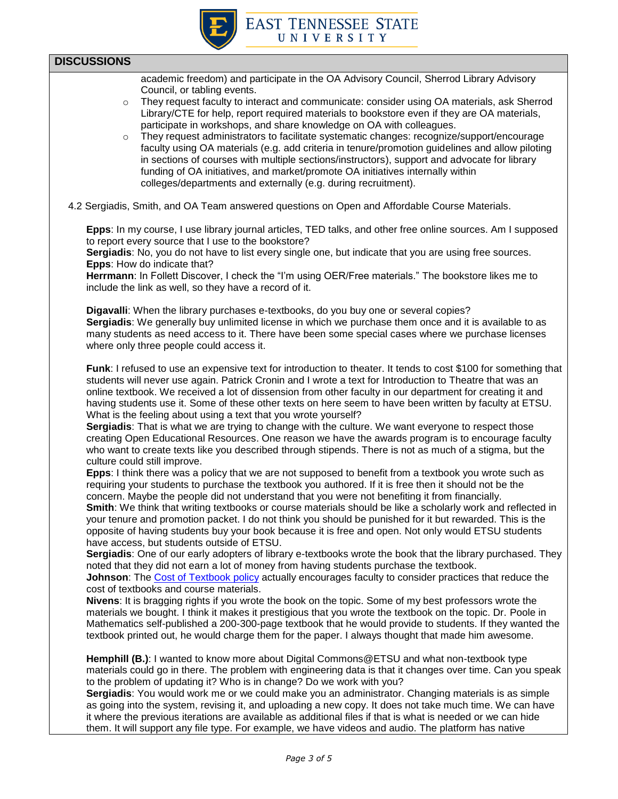

### **DISCUSSIONS**

academic freedom) and participate in the OA Advisory Council, Sherrod Library Advisory Council, or tabling events.

- $\circ$  They request faculty to interact and communicate: consider using OA materials, ask Sherrod Library/CTE for help, report required materials to bookstore even if they are OA materials, participate in workshops, and share knowledge on OA with colleagues.
- o They request administrators to facilitate systematic changes: recognize/support/encourage faculty using OA materials (e.g. add criteria in tenure/promotion guidelines and allow piloting in sections of courses with multiple sections/instructors), support and advocate for library funding of OA initiatives, and market/promote OA initiatives internally within colleges/departments and externally (e.g. during recruitment).
- 4.2 Sergiadis, Smith, and OA Team answered questions on Open and Affordable Course Materials.

**Epps**: In my course, I use library journal articles, TED talks, and other free online sources. Am I supposed to report every source that I use to the bookstore?

**Sergiadis**: No, you do not have to list every single one, but indicate that you are using free sources. **Epps**: How do indicate that?

**Herrmann**: In Follett Discover, I check the "I'm using OER/Free materials." The bookstore likes me to include the link as well, so they have a record of it.

**Digavalli**: When the library purchases e-textbooks, do you buy one or several copies? **Sergiadis**: We generally buy unlimited license in which we purchase them once and it is available to as many students as need access to it. There have been some special cases where we purchase licenses where only three people could access it.

**Funk**: I refused to use an expensive text for introduction to theater. It tends to cost \$100 for something that students will never use again. Patrick Cronin and I wrote a text for Introduction to Theatre that was an online textbook. We received a lot of dissension from other faculty in our department for creating it and having students use it. Some of these other texts on here seem to have been written by faculty at ETSU. What is the feeling about using a text that you wrote yourself?

**Sergiadis**: That is what we are trying to change with the culture. We want everyone to respect those creating Open Educational Resources. One reason we have the awards program is to encourage faculty who want to create texts like you described through stipends. There is not as much of a stigma, but the culture could still improve.

**Epps**: I think there was a policy that we are not supposed to benefit from a textbook you wrote such as requiring your students to purchase the textbook you authored. If it is free then it should not be the concern. Maybe the people did not understand that you were not benefiting it from financially.

**Smith**: We think that writing textbooks or course materials should be like a scholarly work and reflected in your tenure and promotion packet. I do not think you should be punished for it but rewarded. This is the opposite of having students buy your book because it is free and open. Not only would ETSU students have access, but students outside of ETSU.

**Sergiadis**: One of our early adopters of library e-textbooks wrote the book that the library purchased. They noted that they did not earn a lot of money from having students purchase the textbook.

**Johnson**: Th[e Cost of Textbook policy](https://www.etsu.edu/trustees/documents/academic/academic_cost-of-textbooks.pdf) actually encourages faculty to consider practices that reduce the cost of textbooks and course materials.

**Nivens**: It is bragging rights if you wrote the book on the topic. Some of my best professors wrote the materials we bought. I think it makes it prestigious that you wrote the textbook on the topic. Dr. Poole in Mathematics self-published a 200-300-page textbook that he would provide to students. If they wanted the textbook printed out, he would charge them for the paper. I always thought that made him awesome.

**Hemphill (B.)**: I wanted to know more about Digital Commons@ETSU and what non-textbook type materials could go in there. The problem with engineering data is that it changes over time. Can you speak to the problem of updating it? Who is in change? Do we work with you?

**Sergiadis**: You would work me or we could make you an administrator. Changing materials is as simple as going into the system, revising it, and uploading a new copy. It does not take much time. We can have it where the previous iterations are available as additional files if that is what is needed or we can hide them. It will support any file type. For example, we have videos and audio. The platform has native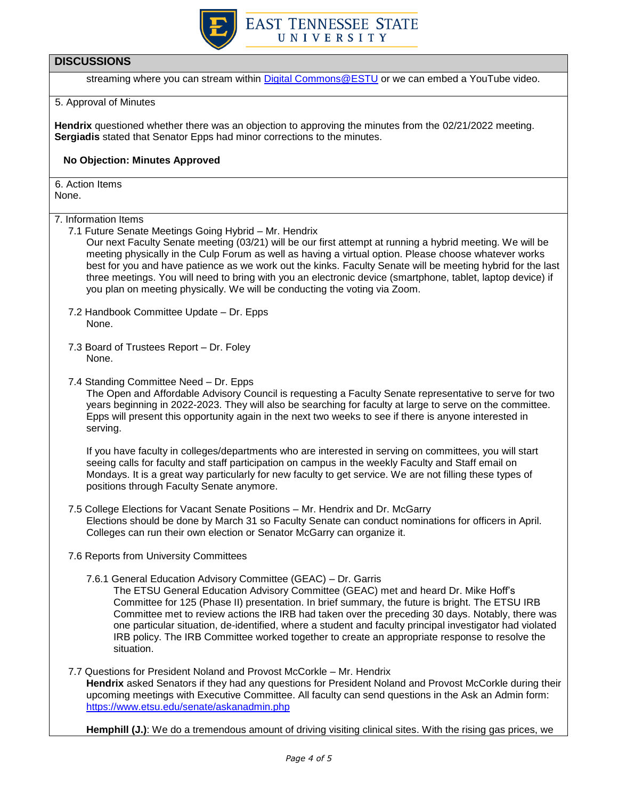

### **DISCUSSIONS**

streaming where you can stream within [Digital Commons@ESTU](https://dc.etsu.edu/etsu-oer/) or we can embed a YouTube video.

#### 5. Approval of Minutes

**Hendrix** questioned whether there was an objection to approving the minutes from the 02/21/2022 meeting. **Sergiadis** stated that Senator Epps had minor corrections to the minutes.

#### **No Objection: Minutes Approved**

6. Action Items None.

#### 7. Information Items

7.1 Future Senate Meetings Going Hybrid – Mr. Hendrix

Our next Faculty Senate meeting (03/21) will be our first attempt at running a hybrid meeting. We will be meeting physically in the Culp Forum as well as having a virtual option. Please choose whatever works best for you and have patience as we work out the kinks. Faculty Senate will be meeting hybrid for the last three meetings. You will need to bring with you an electronic device (smartphone, tablet, laptop device) if you plan on meeting physically. We will be conducting the voting via Zoom.

- 7.2 Handbook Committee Update Dr. Epps None.
- 7.3 Board of Trustees Report Dr. Foley None.
- 7.4 Standing Committee Need Dr. Epps

The Open and Affordable Advisory Council is requesting a Faculty Senate representative to serve for two years beginning in 2022-2023. They will also be searching for faculty at large to serve on the committee. Epps will present this opportunity again in the next two weeks to see if there is anyone interested in serving.

If you have faculty in colleges/departments who are interested in serving on committees, you will start seeing calls for faculty and staff participation on campus in the weekly Faculty and Staff email on Mondays. It is a great way particularly for new faculty to get service. We are not filling these types of positions through Faculty Senate anymore.

- 7.5 College Elections for Vacant Senate Positions Mr. Hendrix and Dr. McGarry Elections should be done by March 31 so Faculty Senate can conduct nominations for officers in April. Colleges can run their own election or Senator McGarry can organize it.
- 7.6 Reports from University Committees
	- 7.6.1 General Education Advisory Committee (GEAC) Dr. Garris

The ETSU General Education Advisory Committee (GEAC) met and heard Dr. Mike Hoff's Committee for 125 (Phase II) presentation. In brief summary, the future is bright. The ETSU IRB Committee met to review actions the IRB had taken over the preceding 30 days. Notably, there was one particular situation, de-identified, where a student and faculty principal investigator had violated IRB policy. The IRB Committee worked together to create an appropriate response to resolve the situation.

7.7 Questions for President Noland and Provost McCorkle – Mr. Hendrix **Hendrix** asked Senators if they had any questions for President Noland and Provost McCorkle during their upcoming meetings with Executive Committee. All faculty can send questions in the Ask an Admin form: <https://www.etsu.edu/senate/askanadmin.php>

**Hemphill (J.)**: We do a tremendous amount of driving visiting clinical sites. With the rising gas prices, we